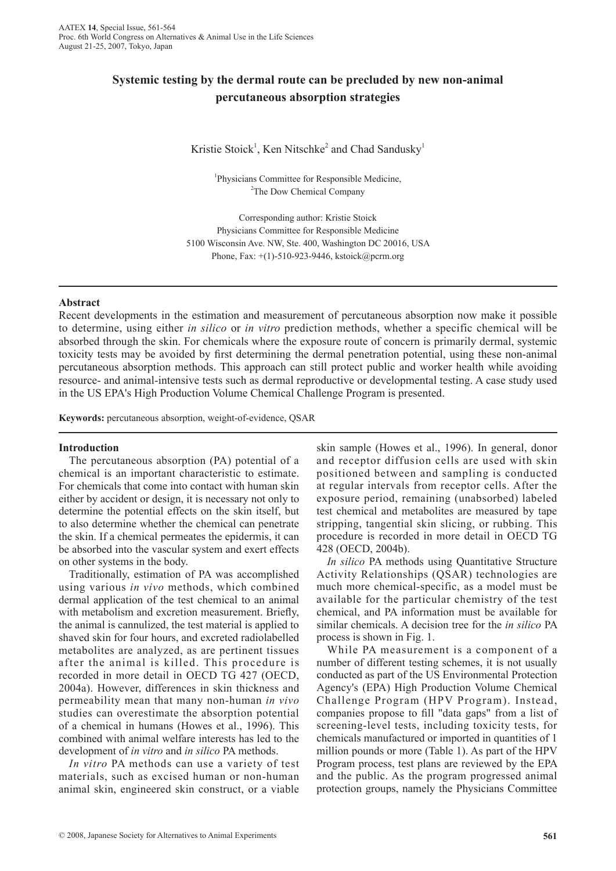# **Systemic testing by the dermal route can be precluded by new non-animal percutaneous absorption strategies**

Kristie Stoick<sup>1</sup>, Ken Nitschke<sup>2</sup> and Chad Sandusky<sup>1</sup>

<sup>1</sup>Physicians Committee for Responsible Medicine, <sup>2</sup>The Dow Chemical Company

Corresponding author: Kristie Stoick Physicians Committee for Responsible Medicine 5100 Wisconsin Ave. NW, Ste. 400, Washington DC 20016, USA Phone, Fax: +(1)-510-923-9446, kstoick@pcrm.org

## **Abstract**

Recent developments in the estimation and measurement of percutaneous absorption now make it possible to determine, using either *in silico* or *in vitro* prediction methods, whether a specific chemical will be absorbed through the skin. For chemicals where the exposure route of concern is primarily dermal, systemic toxicity tests may be avoided by first determining the dermal penetration potential, using these non-animal percutaneous absorption methods. This approach can still protect public and worker health while avoiding resource- and animal-intensive tests such as dermal reproductive or developmental testing. A case study used in the US EPA's High Production Volume Chemical Challenge Program is presented.

**Keywords:** percutaneous absorption, weight-of-evidence, QSAR

## **Introduction**

The percutaneous absorption (PA) potential of a chemical is an important characteristic to estimate. For chemicals that come into contact with human skin either by accident or design, it is necessary not only to determine the potential effects on the skin itself, but to also determine whether the chemical can penetrate the skin. If a chemical permeates the epidermis, it can be absorbed into the vascular system and exert effects on other systems in the body.

Traditionally, estimation of PA was accomplished using various *in vivo* methods, which combined dermal application of the test chemical to an animal with metabolism and excretion measurement. Briefly, the animal is cannulized, the test material is applied to shaved skin for four hours, and excreted radiolabelled metabolites are analyzed, as are pertinent tissues after the animal is killed. This procedure is recorded in more detail in OECD TG 427 (OECD, 2004a). However, differences in skin thickness and permeability mean that many non-human *in vivo* studies can overestimate the absorption potential of a chemical in humans (Howes et al., 1996). This combined with animal welfare interests has led to the development of *in vitro* and *in silico* PA methods.

*In vitro* PA methods can use a variety of test materials, such as excised human or non-human animal skin, engineered skin construct, or a viable

skin sample (Howes et al., 1996). In general, donor and receptor diffusion cells are used with skin positioned between and sampling is conducted at regular intervals from receptor cells. After the exposure period, remaining (unabsorbed) labeled test chemical and metabolites are measured by tape stripping, tangential skin slicing, or rubbing. This procedure is recorded in more detail in OECD TG 428 (OECD, 2004b).

*In silico* PA methods using Quantitative Structure Activity Relationships (QSAR) technologies are much more chemical-specific, as a model must be available for the particular chemistry of the test chemical, and PA information must be available for similar chemicals. A decision tree for the *in silico* PA process is shown in Fig. 1.

While PA measurement is a component of a number of different testing schemes, it is not usually conducted as part of the US Environmental Protection Agency's (EPA) High Production Volume Chemical Challenge Program (HPV Program). Instead, companies propose to fill "data gaps" from a list of screening-level tests, including toxicity tests, for chemicals manufactured or imported in quantities of 1 million pounds or more (Table 1). As part of the HPV Program process, test plans are reviewed by the EPA and the public. As the program progressed animal protection groups, namely the Physicians Committee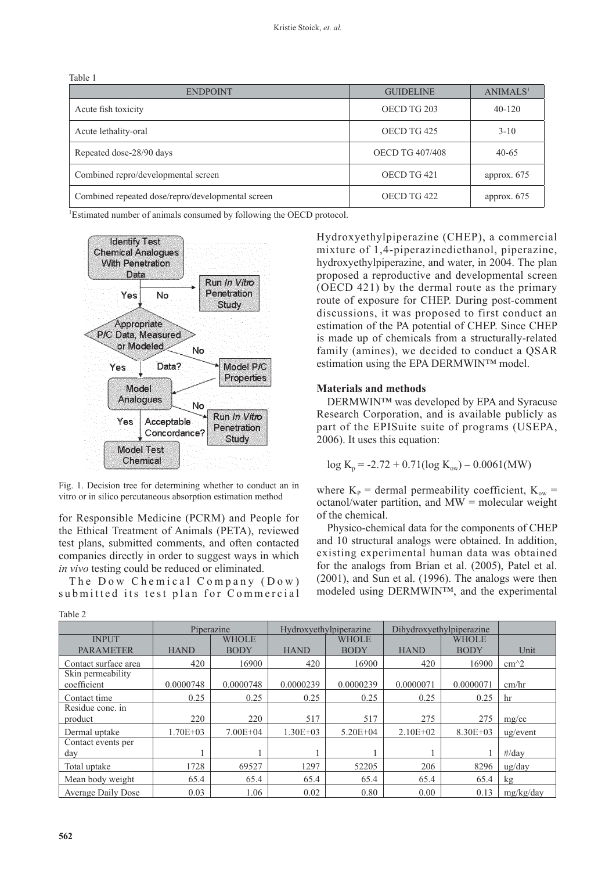Table 1

| <b>ENDPOINT</b>                                   | <b>GUIDELINE</b>       | ANIMALS <sup>1</sup> |
|---------------------------------------------------|------------------------|----------------------|
| Acute fish toxicity                               | OECD TG 203            | $40 - 120$           |
| Acute lethality-oral                              | OECD TG 425            | $3 - 10$             |
| Repeated dose-28/90 days                          | <b>OECD TG 407/408</b> | $40 - 65$            |
| Combined repro/developmental screen               | OECD TG 421            | approx. $675$        |
| Combined repeated dose/repro/developmental screen | OECD TG 422            | approx. $675$        |

<sup>1</sup>Estimated number of animals consumed by following the OECD protocol.



Fig. 1. Decision tree for determining whether to conduct an in vitro or in silico percutaneous absorption estimation method

for Responsible Medicine (PCRM) and People for the Ethical Treatment of Animals (PETA), reviewed test plans, submitted comments, and often contacted companies directly in order to suggest ways in which *in vivo* testing could be reduced or eliminated.

The Dow Chemical Company (Dow) submitted its test plan for Commercial

Hydroxyethylpiperazine (CHEP), a commercial mixture of 1,4-piperazinediethanol, piperazine, hydroxyethylpiperazine, and water, in 2004. The plan proposed a reproductive and developmental screen (OECD 421) by the dermal route as the primary route of exposure for CHEP. During post-comment discussions, it was proposed to first conduct an estimation of the PA potential of CHEP. Since CHEP is made up of chemicals from a structurally-related family (amines), we decided to conduct a QSAR estimation using the EPA DERMWIN™ model.

## **Materials and methods**

DERMWIN™ was developed by EPA and Syracuse Research Corporation, and is available publicly as part of the EPISuite suite of programs (USEPA, 2006). It uses this equation:

$$
log K_p = -2.72 + 0.71(log K_{ow}) - 0.0061(MW)
$$

where  $K_p$  = dermal permeability coefficient,  $K_{ow}$  = octanol/water partition, and  $MW = molecular weight$ of the chemical.

Physico-chemical data for the components of CHEP and 10 structural analogs were obtained. In addition, existing experimental human data was obtained for the analogs from Brian et al. (2005), Patel et al. (2001), and Sun et al. (1996). The analogs were then modeled using DERMWIN™, and the experimental

|                      | Piperazine   |              | Hydroxyethylpiperazine |              | Dihydroxyethylpiperazine |              |                        |
|----------------------|--------------|--------------|------------------------|--------------|--------------------------|--------------|------------------------|
| <b>INPUT</b>         |              | <b>WHOLE</b> |                        | <b>WHOLE</b> |                          | <b>WHOLE</b> |                        |
| <b>PARAMETER</b>     | <b>HAND</b>  | <b>BODY</b>  | <b>HAND</b>            | <b>BODY</b>  | <b>HAND</b>              | <b>BODY</b>  | Unit                   |
| Contact surface area | 420          | 16900        | 420                    | 16900        | 420                      | 16900        | $cm^2$                 |
| Skin permeability    |              |              |                        |              |                          |              |                        |
| coefficient          | 0.0000748    | 0.0000748    | 0.0000239              | 0.0000239    | 0.0000071                | 0.0000071    | cm/hr                  |
| Contact time         | 0.25         | 0.25         | 0.25                   | 0.25         | 0.25                     | 0.25         | hr                     |
| Residue conc. in     |              |              |                        |              |                          |              |                        |
| product              | 220          | 220          | 517                    | 517          | 275                      | 275          | mg/cc                  |
| Dermal uptake        | $1.70E + 03$ | $7.00E + 04$ | $1.30E + 03$           | $5.20E + 04$ | $2.10E + 02$             | $8.30E + 03$ | $u\text{g/event}$      |
| Contact events per   |              |              |                        |              |                          |              |                        |
| day                  |              |              |                        |              |                          |              | $\#/day$               |
| Total uptake         | 1728         | 69527        | 1297                   | 52205        | 206                      | 8296         | $\frac{u g}{\rm{day}}$ |
| Mean body weight     | 65.4         | 65.4         | 65.4                   | 65.4         | 65.4                     | 65.4         | kg                     |
| Average Daily Dose   | 0.03         | 1.06         | 0.02                   | 0.80         | 0.00                     | 0.13         | mg/kg/day              |

Table 2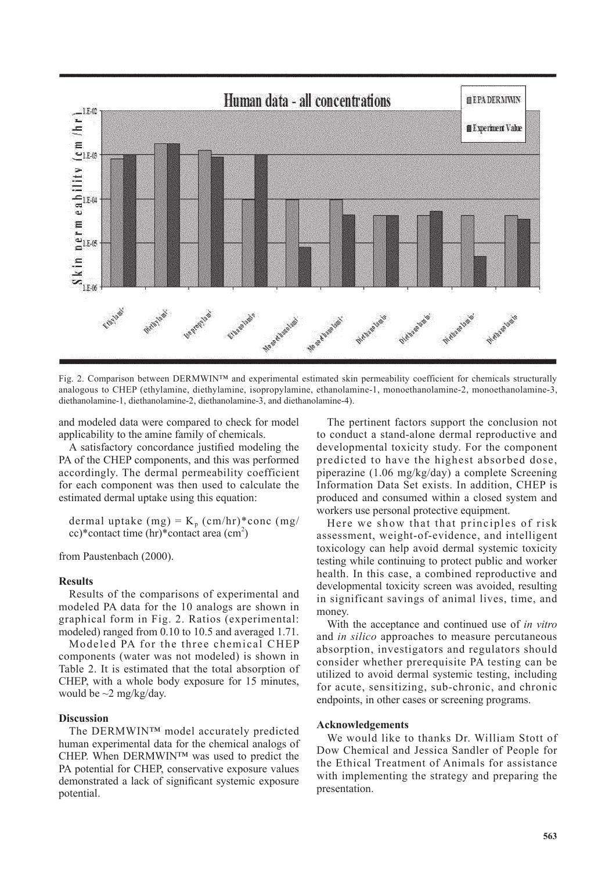

Fig. 2. Comparison between DERMWIN™ and experimental estimated skin permeability coefficient for chemicals structurally analogous to CHEP (ethylamine, diethylamine, isopropylamine, ethanolamine-1, monoethanolamine-2, monoethanolamine-3, diethanolamine-1, diethanolamine-2, diethanolamine-3, and diethanolamine-4).

and modeled data were compared to check for model applicability to the amine family of chemicals.

A satisfactory concordance justified modeling the PA of the CHEP components, and this was performed accordingly. The dermal permeability coefficient for each component was then used to calculate the estimated dermal uptake using this equation:

dermal uptake (mg) =  $K_p$  (cm/hr)\*conc (mg/  $cc$ <sup>\*</sup>contact time (hr)\*contact area (cm<sup>2</sup>)

from Paustenbach (2000).

## **Results**

Results of the comparisons of experimental and modeled PA data for the 10 analogs are shown in graphical form in Fig. 2. Ratios (experimental: modeled) ranged from 0.10 to 10.5 and averaged 1.71.

Modeled PA for the three chemical CHEP components (water was not modeled) is shown in Table 2. It is estimated that the total absorption of CHEP, with a whole body exposure for 15 minutes, would be  $\sim$ 2 mg/kg/day.

#### **Discussion**

The DERMWIN™ model accurately predicted human experimental data for the chemical analogs of CHEP. When DERMWIN™ was used to predict the PA potential for CHEP, conservative exposure values demonstrated a lack of significant systemic exposure potential.

The pertinent factors support the conclusion not to conduct a stand-alone dermal reproductive and developmental toxicity study. For the component predicted to have the highest absorbed dose, piperazine (1.06 mg/kg/day) a complete Screening Information Data Set exists. In addition, CHEP is produced and consumed within a closed system and workers use personal protective equipment.

Here we show that that principles of risk assessment, weight-of-evidence, and intelligent toxicology can help avoid dermal systemic toxicity testing while continuing to protect public and worker health. In this case, a combined reproductive and developmental toxicity screen was avoided, resulting in significant savings of animal lives, time, and money.

With the acceptance and continued use of *in vitro* and *in silico* approaches to measure percutaneous absorption, investigators and regulators should consider whether prerequisite PA testing can be utilized to avoid dermal systemic testing, including for acute, sensitizing, sub-chronic, and chronic endpoints, in other cases or screening programs.

#### **Acknowledgements**

We would like to thanks Dr. William Stott of Dow Chemical and Jessica Sandler of People for the Ethical Treatment of Animals for assistance with implementing the strategy and preparing the presentation.